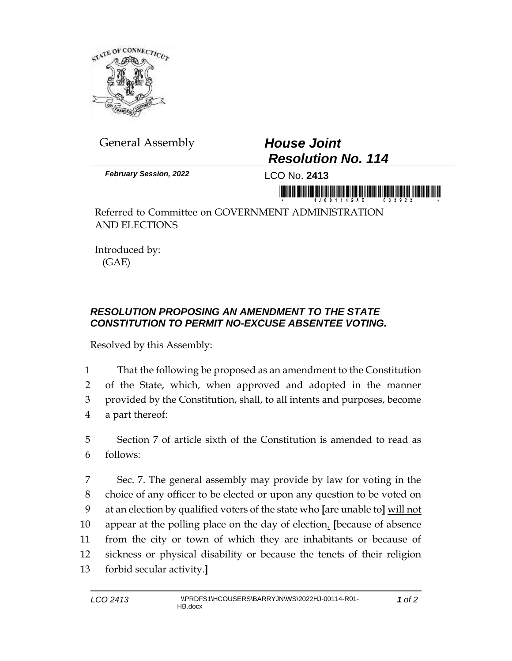

General Assembly *House Joint* 

## *Resolution No. 114*

*February Session, 2022* LCO No. **2413**

Referred to Committee on GOVERNMENT ADMINISTRATION AND ELECTIONS

Introduced by: (GAE)

## *RESOLUTION PROPOSING AN AMENDMENT TO THE STATE CONSTITUTION TO PERMIT NO-EXCUSE ABSENTEE VOTING.*

Resolved by this Assembly:

1 That the following be proposed as an amendment to the Constitution

2 of the State, which, when approved and adopted in the manner 3 provided by the Constitution, shall, to all intents and purposes, become 4 a part thereof:

5 Section 7 of article sixth of the Constitution is amended to read as 6 follows:

 Sec. 7. The general assembly may provide by law for voting in the choice of any officer to be elected or upon any question to be voted on at an election by qualified voters of the state who **[**are unable to**]** will not appear at the polling place on the day of election. **[**because of absence from the city or town of which they are inhabitants or because of sickness or physical disability or because the tenets of their religion forbid secular activity.**]**